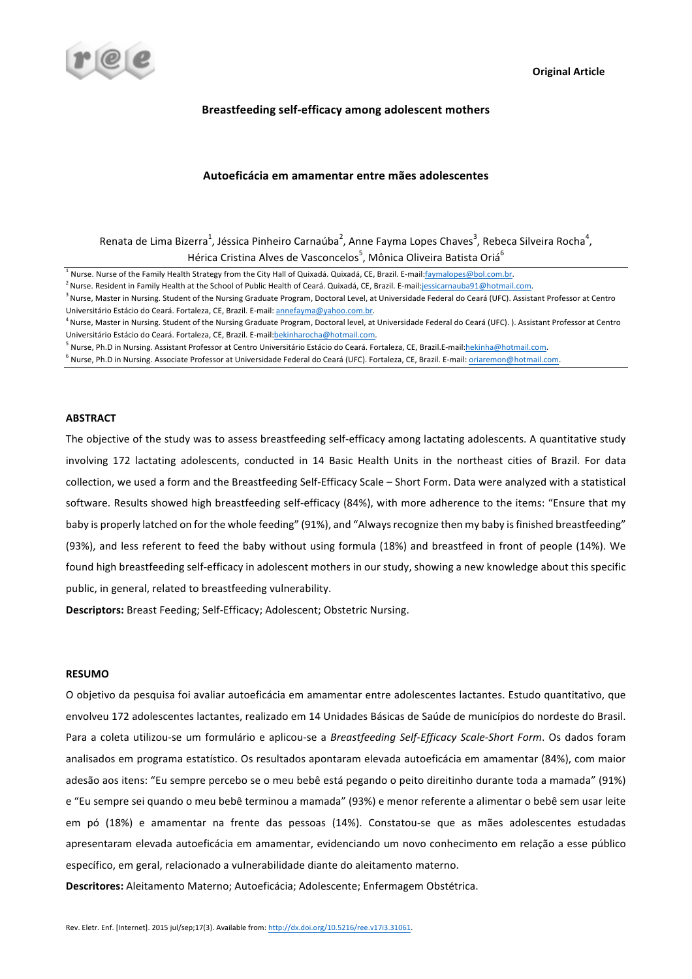

# **Breastfeeding self-efficacy among adolescent mothers**

# **Autoeficácia em amamentar entre mães adolescentes**

Renata de Lima Bizerra<sup>1</sup>, Jéssica Pinheiro Carnaúba<sup>2</sup>, Anne Fayma Lopes Chaves<sup>3</sup>, Rebeca Silveira Rocha<sup>4</sup>, Hérica Cristina Alves de Vasconcelos<sup>5</sup>, Mônica Oliveira Batista Oriá<sup>6</sup>

<sup>1</sup> Nurse. Nurse of the Family Health Strategy from the City Hall of Quixadá. Quixadá, CE, Brazil. E-mail:faymalopes@bol.com.br.

<sup>2</sup> Nurse. Resident in Family Health at the School of Public Health of Ceará. Quixadá, CE, Brazil. E-mail:jessicarnauba91@hotmail.com.

<sup>3</sup> Nurse, Master in Nursing. Student of the Nursing Graduate Program, Doctoral Level, at Universidade Federal do Ceará (UFC). Assistant Professor at Centro Universitário Estácio do Ceará. Fortaleza, CE, Brazil. E-mail: annefayma@yahoo.com.br.

<sup>4</sup> Nurse, Master in Nursing. Student of the Nursing Graduate Program, Doctoral level, at Universidade Federal do Ceará (UFC). ). Assistant Professor at Centro Universitário Estácio do Ceará. Fortaleza, CE, Brazil. E-mail: bekinharocha@hotmail.com.

<sup>5</sup> Nurse, Ph.D in Nursing. Assistant Professor at Centro Universitário Estácio do Ceará. Fortaleza, CE, Brazil.E-mail:hekinha@hotmail.com.

<sup>6</sup> Nurse, Ph.D in Nursing. Associate Professor at Universidade Federal do Ceará (UFC). Fortaleza, CE, Brazil. E-mail: *oriaremon@hotmail.com.* 

# **ABSTRACT**

The objective of the study was to assess breastfeeding self-efficacy among lactating adolescents. A quantitative study involving 172 lactating adolescents, conducted in 14 Basic Health Units in the northeast cities of Brazil. For data collection, we used a form and the Breastfeeding Self-Efficacy Scale - Short Form. Data were analyzed with a statistical software. Results showed high breastfeeding self-efficacy (84%), with more adherence to the items: "Ensure that my baby is properly latched on for the whole feeding" (91%), and "Always recognize then my baby is finished breastfeeding" (93%), and less referent to feed the baby without using formula (18%) and breastfeed in front of people (14%). We found high breastfeeding self-efficacy in adolescent mothers in our study, showing a new knowledge about this specific public, in general, related to breastfeeding vulnerability.

**Descriptors:** Breast Feeding; Self-Efficacy; Adolescent; Obstetric Nursing.

# **RESUMO**

O objetivo da pesquisa foi avaliar autoeficácia em amamentar entre adolescentes lactantes. Estudo quantitativo, que envolveu 172 adolescentes lactantes, realizado em 14 Unidades Básicas de Saúde de municípios do nordeste do Brasil. Para a coleta utilizou-se um formulário e aplicou-se a Breastfeeding Self-Efficacy Scale-Short Form. Os dados foram analisados em programa estatístico. Os resultados apontaram elevada autoeficácia em amamentar (84%), com maior adesão aos itens: "Eu sempre percebo se o meu bebê está pegando o peito direitinho durante toda a mamada" (91%) e "Eu sempre sei quando o meu bebê terminou a mamada" (93%) e menor referente a alimentar o bebê sem usar leite em pó (18%) e amamentar na frente das pessoas (14%). Constatou-se que as mães adolescentes estudadas apresentaram elevada autoeficácia em amamentar, evidenciando um novo conhecimento em relação a esse público específico, em geral, relacionado a vulnerabilidade diante do aleitamento materno.

Descritores: Aleitamento Materno; Autoeficácia; Adolescente; Enfermagem Obstétrica.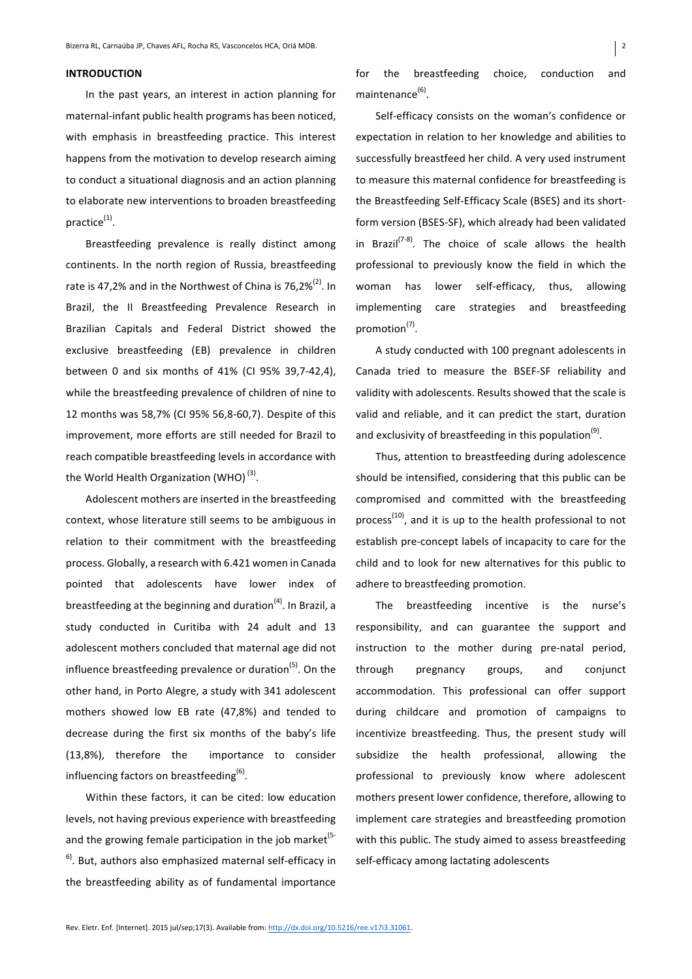# **INTRODUCTION**

In the past years, an interest in action planning for maternal-infant public health programs has been noticed, with emphasis in breastfeeding practice. This interest happens from the motivation to develop research aiming to conduct a situational diagnosis and an action planning to elaborate new interventions to broaden breastfeeding practice $<sup>(1)</sup>$ .</sup>

Breastfeeding prevalence is really distinct among continents. In the north region of Russia, breastfeeding rate is 47,2% and in the Northwest of China is  $76,2\%^{(2)}$ . In Brazil, the II Breastfeeding Prevalence Research in Brazilian Capitals and Federal District showed the exclusive breastfeeding (EB) prevalence in children between 0 and six months of 41% (CI 95% 39,7-42,4), while the breastfeeding prevalence of children of nine to 12 months was 58,7% (CI 95% 56,8-60,7). Despite of this improvement, more efforts are still needed for Brazil to reach compatible breastfeeding levels in accordance with the World Health Organization (WHO) $<sup>(3)</sup>$ .</sup>

Adolescent mothers are inserted in the breastfeeding context, whose literature still seems to be ambiguous in relation to their commitment with the breastfeeding process. Globally, a research with 6.421 women in Canada pointed that adolescents have lower index of breastfeeding at the beginning and duration<sup>(4)</sup>. In Brazil, a study conducted in Curitiba with 24 adult and 13 adolescent mothers concluded that maternal age did not influence breastfeeding prevalence or duration<sup>(5)</sup>. On the other hand, in Porto Alegre, a study with 341 adolescent mothers showed low EB rate (47,8%) and tended to decrease during the first six months of the baby's life (13,8%), therefore the importance to consider influencing factors on breastfeeding $<sup>(6)</sup>$ .</sup>

Within these factors, it can be cited: low education levels, not having previous experience with breastfeeding and the growing female participation in the job market<sup>(5-1</sup>)  $6$ <sup>6)</sup>. But, authors also emphasized maternal self-efficacy in the breastfeeding ability as of fundamental importance for the breastfeeding choice, conduction and maintenance<sup>(6)</sup>.

Self-efficacy consists on the woman's confidence or expectation in relation to her knowledge and abilities to successfully breastfeed her child. A very used instrument to measure this maternal confidence for breastfeeding is the Breastfeeding Self-Efficacy Scale (BSES) and its shortform version (BSES-SF), which already had been validated in Brazil<sup>(7-8)</sup>. The choice of scale allows the health professional to previously know the field in which the woman has lower self-efficacy, thus, allowing implementing care strategies and breastfeeding promotion<sup>(7)</sup>.

A study conducted with 100 pregnant adolescents in Canada tried to measure the BSEF-SF reliability and validity with adolescents. Results showed that the scale is valid and reliable, and it can predict the start, duration and exclusivity of breastfeeding in this population<sup>(9)</sup>.

Thus, attention to breastfeeding during adolescence should be intensified, considering that this public can be compromised and committed with the breastfeeding process<sup>(10)</sup>, and it is up to the health professional to not establish pre-concept labels of incapacity to care for the child and to look for new alternatives for this public to adhere to breastfeeding promotion.

The breastfeeding incentive is the nurse's responsibility, and can guarantee the support and instruction to the mother during pre-natal period, through pregnancy groups, and conjunct accommodation. This professional can offer support during childcare and promotion of campaigns to incentivize breastfeeding. Thus, the present study will subsidize the health professional, allowing the professional to previously know where adolescent mothers present lower confidence, therefore, allowing to implement care strategies and breastfeeding promotion with this public. The study aimed to assess breastfeeding self-efficacy among lactating adolescents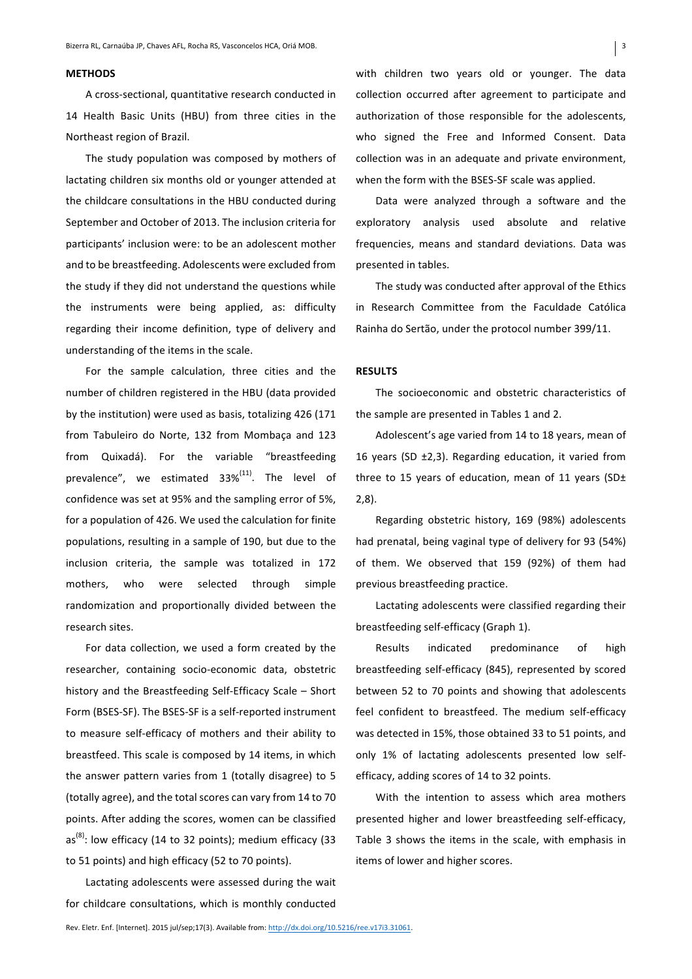# **METHODS**

A cross-sectional, quantitative research conducted in 14 Health Basic Units (HBU) from three cities in the Northeast region of Brazil.

The study population was composed by mothers of lactating children six months old or younger attended at the childcare consultations in the HBU conducted during September and October of 2013. The inclusion criteria for participants' inclusion were: to be an adolescent mother and to be breastfeeding. Adolescents were excluded from the study if they did not understand the questions while the instruments were being applied, as: difficulty regarding their income definition, type of delivery and understanding of the items in the scale.

For the sample calculation, three cities and the number of children registered in the HBU (data provided by the institution) were used as basis, totalizing 426 (171 from Tabuleiro do Norte, 132 from Mombaça and 123 from Quixadá). For the variable "breastfeeding prevalence", we estimated  $33\%^{(11)}$ . The level of confidence was set at 95% and the sampling error of 5%, for a population of 426. We used the calculation for finite populations, resulting in a sample of 190, but due to the inclusion criteria, the sample was totalized in 172 mothers, who were selected through simple randomization and proportionally divided between the research sites.

For data collection, we used a form created by the researcher, containing socio-economic data, obstetric history and the Breastfeeding Self-Efficacy Scale - Short Form (BSES-SF). The BSES-SF is a self-reported instrument to measure self-efficacy of mothers and their ability to breastfeed. This scale is composed by 14 items, in which the answer pattern varies from 1 (totally disagree) to  $5$ (totally agree), and the total scores can vary from 14 to 70 points. After adding the scores, women can be classified as<sup>(8)</sup>: low efficacy (14 to 32 points); medium efficacy (33 to 51 points) and high efficacy (52 to 70 points).

Lactating adolescents were assessed during the wait for childcare consultations, which is monthly conducted with children two years old or younger. The data collection occurred after agreement to participate and authorization of those responsible for the adolescents, who signed the Free and Informed Consent. Data collection was in an adequate and private environment, when the form with the BSES-SF scale was applied.

Data were analyzed through a software and the exploratory analysis used absolute and relative frequencies, means and standard deviations. Data was presented in tables.

The study was conducted after approval of the Ethics in Research Committee from the Faculdade Católica Rainha do Sertão, under the protocol number 399/11.

#### **RESULTS**

The socioeconomic and obstetric characteristics of the sample are presented in Tables 1 and 2.

Adolescent's age varied from 14 to 18 years, mean of 16 years (SD  $\pm$ 2,3). Regarding education, it varied from three to 15 years of education, mean of 11 years (SD $\pm$ 2,8).

Regarding obstetric history, 169 (98%) adolescents had prenatal, being vaginal type of delivery for 93 (54%) of them. We observed that 159 (92%) of them had previous breastfeeding practice.

Lactating adolescents were classified regarding their breastfeeding self-efficacy (Graph 1).

Results indicated predominance of high breastfeeding self-efficacy (845), represented by scored between 52 to 70 points and showing that adolescents feel confident to breastfeed. The medium self-efficacy was detected in 15%, those obtained 33 to 51 points, and only 1% of lactating adolescents presented low selfefficacy, adding scores of 14 to 32 points.

With the intention to assess which area mothers presented higher and lower breastfeeding self-efficacy, Table 3 shows the items in the scale, with emphasis in items of lower and higher scores.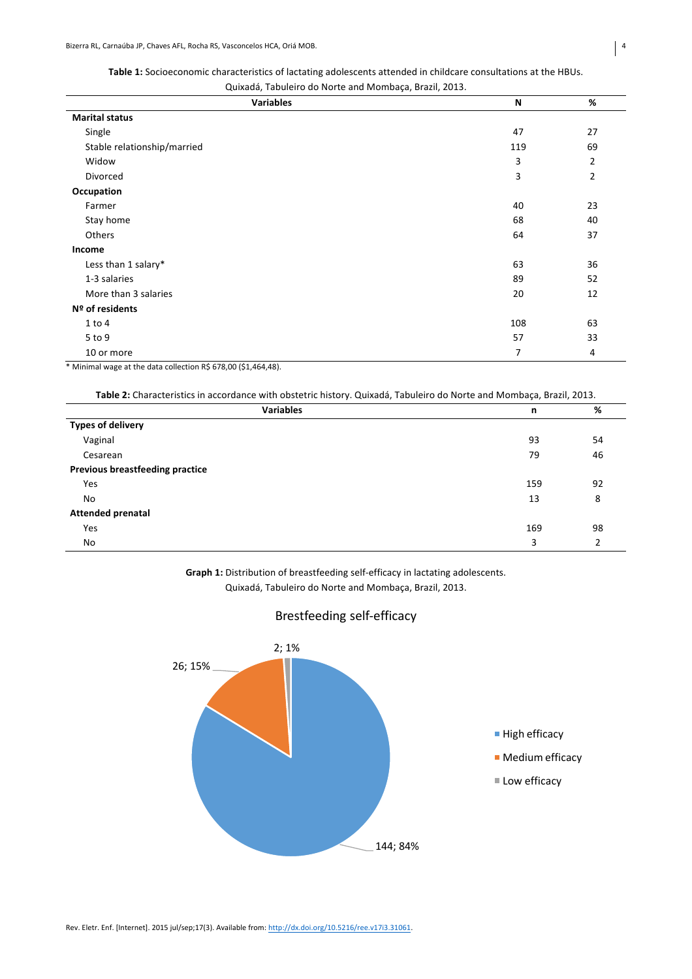| <b>Table 1:</b> Socioeconomic characteristics of lactating adolescents attended in childcare consultations at the HBUs. |
|-------------------------------------------------------------------------------------------------------------------------|
| Oujvadá Tabulaire de Norte and Mombaca, Brazil, 2012                                                                    |

| Quixadá, Tabuleiro do Norte and Mombaça, Brazil, 2013. |     |                |  |  |
|--------------------------------------------------------|-----|----------------|--|--|
| <b>Variables</b>                                       | N   | $\%$           |  |  |
| <b>Marital status</b>                                  |     |                |  |  |
| Single                                                 | 47  | 27             |  |  |
| Stable relationship/married                            | 119 | 69             |  |  |
| Widow                                                  | 3   | $\overline{2}$ |  |  |
| Divorced                                               | 3   | $\overline{2}$ |  |  |
| Occupation                                             |     |                |  |  |
| Farmer                                                 | 40  | 23             |  |  |
| Stay home                                              | 68  | 40             |  |  |
| Others                                                 | 64  | 37             |  |  |
| Income                                                 |     |                |  |  |
| Less than 1 salary*                                    | 63  | 36             |  |  |
| 1-3 salaries                                           | 89  | 52             |  |  |
| More than 3 salaries                                   | 20  | 12             |  |  |
| Nº of residents                                        |     |                |  |  |
| $1$ to $4$                                             | 108 | 63             |  |  |
| 5 to 9                                                 | 57  | 33             |  |  |
| 10 or more                                             | 7   | 4              |  |  |

\* Minimal wage at the data collection R\$ 678,00 (\$1,464,48).

| <b>Variables</b>                       | n   | %  |
|----------------------------------------|-----|----|
| <b>Types of delivery</b>               |     |    |
| Vaginal                                | 93  | 54 |
| Cesarean                               | 79  | 46 |
| <b>Previous breastfeeding practice</b> |     |    |
| <b>Yes</b>                             | 159 | 92 |
| No.                                    | 13  | 8  |
| <b>Attended prenatal</b>               |     |    |
| <b>Yes</b>                             | 169 | 98 |
| No.                                    | 3   |    |

**Graph 1:** Distribution of breastfeeding self-efficacy in lactating adolescents. Quixadá, Tabuleiro do Norte and Mombaça, Brazil, 2013.

# 144; 84% 26; 15%  $2; 1%$ ■ High efficacy **Medium** efficacy ■ Low efficacy

# Brestfeeding self-efficacy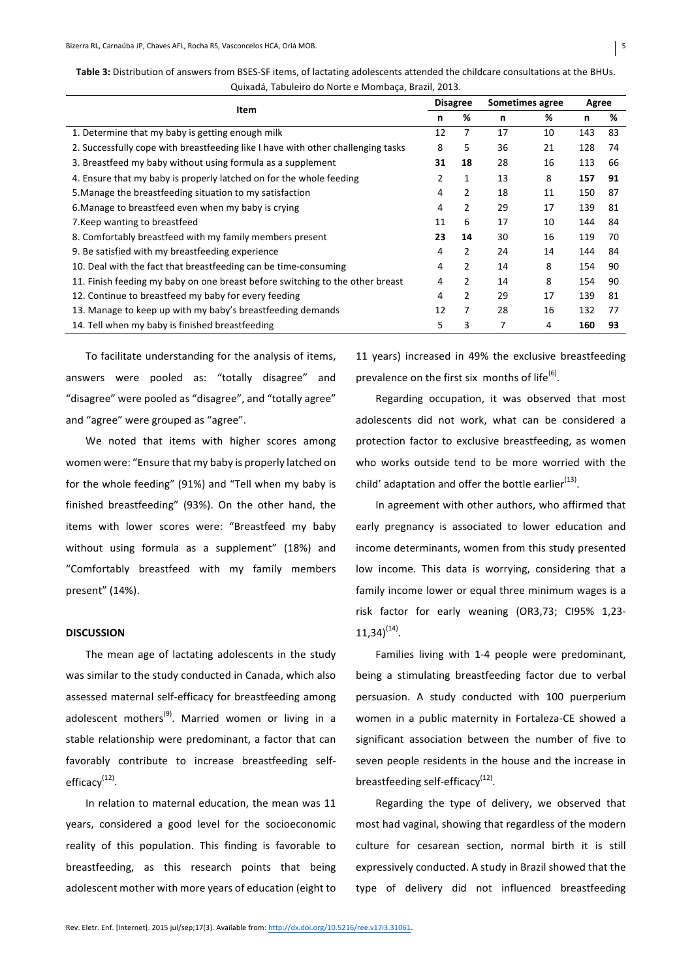| I<br>× |
|--------|

| Item                                                                             | <b>Disagree</b> |    | Sometimes agree |    | Agree |    |
|----------------------------------------------------------------------------------|-----------------|----|-----------------|----|-------|----|
|                                                                                  |                 | %  | n               | %  | n     | %  |
| 1. Determine that my baby is getting enough milk                                 | 12              | 7  | 17              | 10 | 143   | 83 |
| 2. Successfully cope with breastfeeding like I have with other challenging tasks | 8               | 5  | 36              | 21 | 128   | 74 |
| 3. Breastfeed my baby without using formula as a supplement                      | 31              | 18 | 28              | 16 | 113   | 66 |
| 4. Ensure that my baby is properly latched on for the whole feeding              | 2               | 1  | 13              | 8  | 157   | 91 |
| 5. Manage the breastfeeding situation to my satisfaction                         | 4               | 2  | 18              | 11 | 150   | 87 |
| 6. Manage to breastfeed even when my baby is crying                              | 4               | 2  | 29              | 17 | 139   | 81 |
| 7. Keep wanting to breastfeed                                                    | 11              | 6  | 17              | 10 | 144   | 84 |
| 8. Comfortably breastfeed with my family members present                         | 23              | 14 | 30              | 16 | 119   | 70 |
| 9. Be satisfied with my breastfeeding experience                                 | 4               | 2  | 24              | 14 | 144   | 84 |
| 10. Deal with the fact that breastfeeding can be time-consuming                  | 4               | 2  | 14              | 8  | 154   | 90 |
| 11. Finish feeding my baby on one breast before switching to the other breast    | 4               | 2  | 14              | 8  | 154   | 90 |
| 12. Continue to breastfeed my baby for every feeding                             | 4               | 2  | 29              | 17 | 139   | 81 |
| 13. Manage to keep up with my baby's breastfeeding demands                       | 12              | 7  | 28              | 16 | 132   | 77 |
| 14. Tell when my baby is finished breastfeeding                                  | 5               | 3  | 7               | 4  | 160   | 93 |

Table 3: Distribution of answers from BSES-SF items, of lactating adolescents attended the childcare consultations at the BHUs. Quixadá, Tabuleiro do Norte e Mombaça, Brazil, 2013.

To facilitate understanding for the analysis of items, answers were pooled as: "totally disagree" and "disagree" were pooled as "disagree", and "totally agree" and "agree" were grouped as "agree".

We noted that items with higher scores among women were: "Ensure that my baby is properly latched on for the whole feeding" (91%) and "Tell when my baby is finished breastfeeding" (93%). On the other hand, the items with lower scores were: "Breastfeed my baby without using formula as a supplement" (18%) and "Comfortably breastfeed with my family members present" (14%).

# **DISCUSSION**

The mean age of lactating adolescents in the study was similar to the study conducted in Canada, which also assessed maternal self-efficacy for breastfeeding among adolescent mothers<sup>(9)</sup>. Married women or living in a stable relationship were predominant, a factor that can favorably contribute to increase breastfeeding selfefficacy<sup>(12)</sup>.

In relation to maternal education, the mean was 11 years, considered a good level for the socioeconomic reality of this population. This finding is favorable to breastfeeding, as this research points that being adolescent mother with more vears of education (eight to 11 years) increased in 49% the exclusive breastfeeding prevalence on the first six months of life $^{(6)}$ .

Regarding occupation, it was observed that most adolescents did not work, what can be considered a protection factor to exclusive breastfeeding, as women who works outside tend to be more worried with the child' adaptation and offer the bottle earlier<sup>(13)</sup>.

In agreement with other authors, who affirmed that early pregnancy is associated to lower education and income determinants, women from this study presented low income. This data is worrying, considering that a family income lower or equal three minimum wages is a risk factor for early weaning (OR3,73; CI95% 1,23- $11.34^{(14)}$ .

Families living with 1-4 people were predominant, being a stimulating breastfeeding factor due to verbal persuasion. A study conducted with 100 puerperium women in a public maternity in Fortaleza-CE showed a significant association between the number of five to seven people residents in the house and the increase in breastfeeding self-efficacy $<sup>(12)</sup>$ .</sup>

Regarding the type of delivery, we observed that most had vaginal, showing that regardless of the modern culture for cesarean section, normal birth it is still expressively conducted. A study in Brazil showed that the type of delivery did not influenced breastfeeding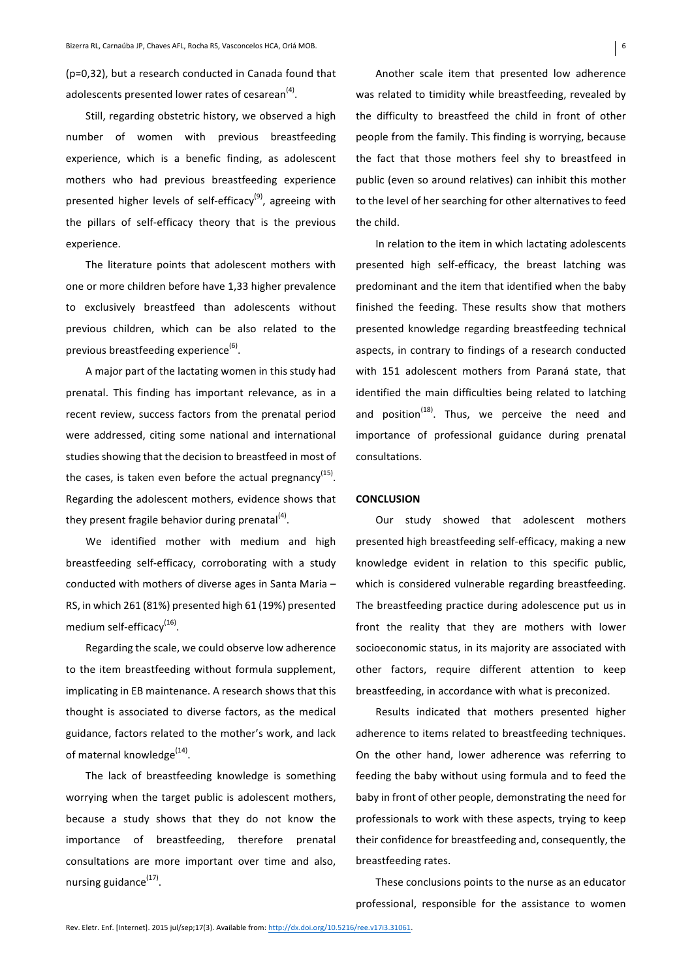(p=0.32), but a research conducted in Canada found that adolescents presented lower rates of cesarean<sup>(4)</sup>.

Still, regarding obstetric history, we observed a high number of women with previous breastfeeding experience, which is a benefic finding, as adolescent mothers who had previous breastfeeding experience presented higher levels of self-efficacy<sup>(9)</sup>, agreeing with the pillars of self-efficacy theory that is the previous experience. 

The literature points that adolescent mothers with one or more children before have 1,33 higher prevalence to exclusively breastfeed than adolescents without previous children, which can be also related to the previous breastfeeding experience<sup>(6)</sup>.

A major part of the lactating women in this study had prenatal. This finding has important relevance, as in a recent review, success factors from the prenatal period were addressed, citing some national and international studies showing that the decision to breastfeed in most of the cases, is taken even before the actual pregnancy<sup>(15)</sup>. Regarding the adolescent mothers, evidence shows that they present fragile behavior during prenatal $(4)$ .

We identified mother with medium and high breastfeeding self-efficacy, corroborating with a study conducted with mothers of diverse ages in Santa Maria  $-$ RS, in which 261 (81%) presented high 61 (19%) presented medium self-efficacy<sup>(16)</sup>.

Regarding the scale, we could observe low adherence to the item breastfeeding without formula supplement, implicating in EB maintenance. A research shows that this thought is associated to diverse factors, as the medical guidance, factors related to the mother's work, and lack of maternal knowledge $^{(14)}$ .

The lack of breastfeeding knowledge is something worrying when the target public is adolescent mothers, because a study shows that they do not know the importance of breastfeeding, therefore prenatal consultations are more important over time and also, nursing guidance $(17)$ .

Another scale item that presented low adherence was related to timidity while breastfeeding, revealed by the difficulty to breastfeed the child in front of other people from the family. This finding is worrying, because the fact that those mothers feel shy to breastfeed in public (even so around relatives) can inhibit this mother to the level of her searching for other alternatives to feed the child.

In relation to the item in which lactating adolescents presented high self-efficacy, the breast latching was predominant and the item that identified when the baby finished the feeding. These results show that mothers presented knowledge regarding breastfeeding technical aspects, in contrary to findings of a research conducted with 151 adolescent mothers from Paraná state, that identified the main difficulties being related to latching and position<sup> $(18)$ </sup>. Thus, we perceive the need and importance of professional guidance during prenatal consultations. 

### **CONCLUSION**

Our study showed that adolescent mothers presented high breastfeeding self-efficacy, making a new knowledge evident in relation to this specific public, which is considered vulnerable regarding breastfeeding. The breastfeeding practice during adolescence put us in front the reality that they are mothers with lower socioeconomic status, in its majority are associated with other factors, require different attention to keep breastfeeding, in accordance with what is preconized.

Results indicated that mothers presented higher adherence to items related to breastfeeding techniques. On the other hand, lower adherence was referring to feeding the baby without using formula and to feed the baby in front of other people, demonstrating the need for professionals to work with these aspects, trying to keep their confidence for breastfeeding and, consequently, the breastfeeding rates.

These conclusions points to the nurse as an educator professional, responsible for the assistance to women